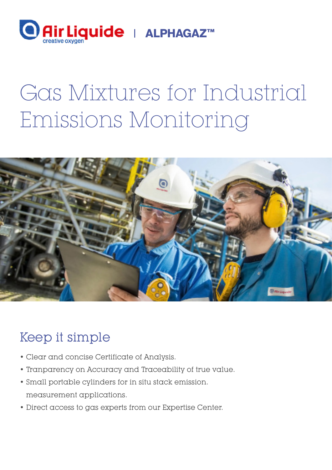

# Gas Mixtures for Industrial Emissions Monitoring



## Keep it simple

- Clear and concise Certificate of Analysis.
- Tranparency on Accuracy and Traceability of true value.
- Small portable cylinders for in situ stack emission. measurement applications.
- Direct access to gas experts from our Expertise Center.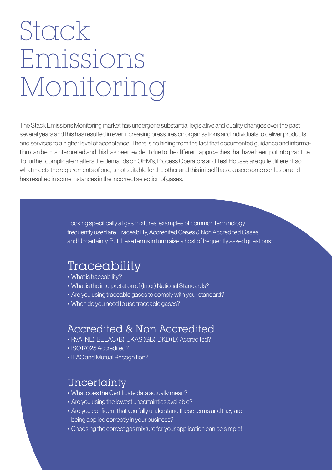# Stack Emissions Monitoring

The Stack Emissions Monitoring market has undergone substantial legislative and quality changes over the past several years and this has resulted in ever increasing pressures on organisations and individuals to deliver products and services to a higher level of acceptance. There is no hiding from the fact that documented guidance and information can be misinterpreted and this has been evident due to the different approaches that have been put into practice. To further complicate matters the demands on OEM's, Process Operators and Test Houses are quite different, so what meets the requirements of one, is not suitable for the other and this in itself has caused some confusion and has resulted in some instances in the incorrect selection of gases.

> Looking specifically at gas mixtures, examples of common terminology frequently used are: Traceability, Accredited Gases & Non Accredited Gases and Uncertainty. But these terms in turn raise a host of frequently asked questions:

### Traceability

- What is traceability?
- What is the interpretation of (Inter) National Standards?
- Are you using traceable gases to comply with your standard?
- When do you need to use traceable gases?

### Accredited & Non Accredited

- RvA (NL), BELAC (B), UKAS (GB), DKD (D) Accredited?
- ISO17025 Accredited?
- ILAC and Mutual Recognition?

#### **Uncertainty**

- What does the Certificate data actually mean?
- Are you using the lowest uncertainties available?
- Are you confident that you fully understand these terms and they are being applied correctly in your business?
- Choosing the correct gas mixture for your application can be simple!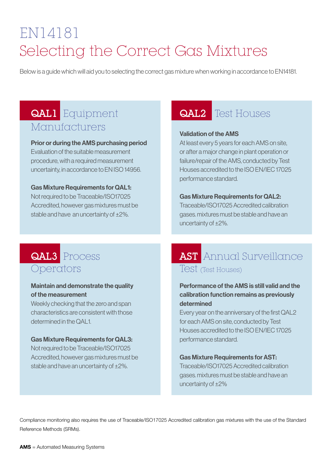# EN14181 Selecting the Correct Gas Mixtures

Below is a guide which will aid you to selecting the correct gas mixture when working in accordance to EN14181.

### QAL1 Equipment Manufacturers

#### Prior or during the AMS purchasing period

Evaluation of the suitable measurement procedure, with a required measurement uncertainty, in accordance to EN ISO 14956.

#### Gas Mixture Requirements for QAL1:

Not required to be Traceable/ISO17025 Accredited, however gas mixtures must be stable and have an uncertainty of ±2%.

### QAL2 Test Houses

#### Validation of the AMS

At least every 5 years for each AMS on site, or after a major change in plant operation or failure/repair of the AMS, conducted by Test Houses accredited to the ISO EN/IEC 17025 performance standard.

#### Gas Mixture Requirements for QAL2:

Traceable/ISO17025 Accredited calibration gases. mixtures must be stable and have an uncertainty of ±2%.

### QAL3 Process Operators

#### Maintain and demonstrate the quality of the measurement

Weekly checking that the zero and span characteristics are consistent with those determined in the QAL1.

#### Gas Mixture Requirements for QAL3:

Not required to be Traceable/ISO17025 Accredited, however gas mixtures must be stable and have an uncertainty of ±2%.

### AST Annual Surveillance Test (Test Houses)

#### Performance of the AMS is still valid and the calibration function remains as previously determined

Every year on the anniversary of the first QAL2 for each AMS on site, conducted by Test Houses accredited to the ISO EN/IEC 17025 performance standard.

#### Gas Mixture Requirements for AST:

Traceable/ISO17025 Accredited calibration gases. mixtures must be stable and have an uncertainty of ±2%

Compliance monitoring also requires the use of Traceable/ISO17025 Accredited calibration gas mixtures with the use of the Standard Reference Methods (SRMs).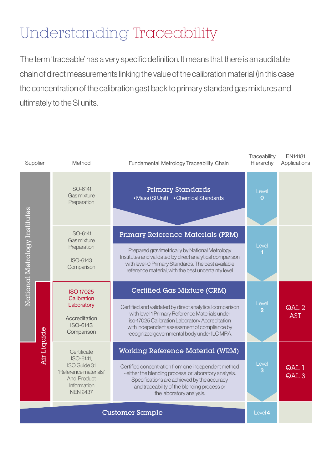# Understanding Traceability

The term 'traceable' has a very specific definition. It means that there is an auditable chain of direct measurements linking the value of the calibration material (in this case the concentration of the calibration gas) back to primary standard gas mixtures and ultimately to the SI units.

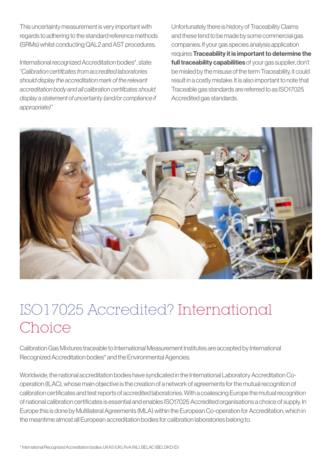This uncertainty measurement is very important with regards to adhering to the standard reference methods (SRMs) whilst conducting QAL2 and AST procedures.

International recognized Accreditation bodies\*, state: "Calibration certificates from accredited laboratories should display the accreditation mark of the relevant accreditation body and all calibration certificates should display a statement of uncertainty (and/or compliance if appropriate)"

Unfortunately there is history of Traceability Claims and these tend to be made by some commercial gas companies. If your gas species analysis application requires Traceability it is important to determine the full traceability capabilities of your gas supplier, don't be misled by the misuse of the term Traceability, it could result in a costly mistake. It is also important to note that Traceable gas standards are referred to as ISO17025 Accredited gas standards.



## ISO17025 Accredited? International Choice

 Calibration Gas Mixtures traceable to International Measurement Institutes are accepted by International Recognized Accreditation bodies\* and the Environmental Agencies.

Worldwide, the national accreditation bodies have syndicated in the International Laboratory Accreditation Cooperation (ILAC), whose main objective is the creation of a network of agreements for the mutual recognition of calibration certificates and test reports of accredited laboratories. With a coalescing Europe the mutual recognition of national calibration certificates is essential and enables ISO17025 Accredited organisations a choice of supply. In Europe this is done by Multilateral Agreements (MLA) within the European Co-operation for Accreditation, which in the meantime almost all European accreditation bodies for calibration laboratories belong to.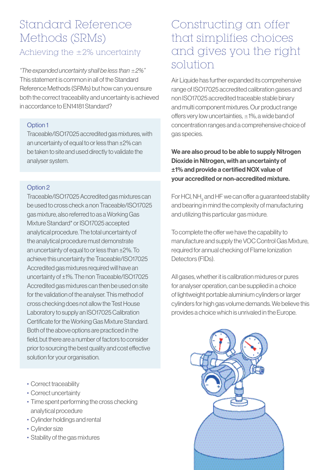### Standard Reference Methods (SRMs)

#### Achieving the ±2% uncertainty

"The expanded uncertainty shall be less than  $\pm 2\%$ " This statement is common in all of the Standard Reference Methods (SRMs) but how can you ensure both the correct traceability and uncertainty is achieved in accordance to EN14181 Standard?

#### Option 1

Traceable/ISO17025 accredited gas mixtures, with an uncertainty of equal to or less than ±2% can be taken to site and used directly to validate the analyser system.

#### Option 2

Traceable/ISO17025 Accredited gas mixtures can be used to cross check a non Traceable/ISO17025 gas mixture, also referred to as a Working Gas Mixture Standard\* or ISO17025 accepted analytical procedure. The total uncertainty of the analytical procedure must demonstrate an uncertainty of equal to or less than ±2%. To achieve this uncertainty the Traceable/ISO17025 Accredited gas mixtures required will have an uncertainty of ±1%. The non Traceable/ISO17025 Accredited gas mixtures can then be used on site for the validation of the analyser. This method of cross checking does not allow the Test House Laboratory to supply an ISO17025 Calibration Certificate for the Working Gas Mixture Standard. Both of the above options are practiced in the field, but there are a number of factors to consider prior to sourcing the best quality and cost effective solution for your organisation.

- Correct traceability
- Correct uncertainty
- Time spent performing the cross checking analytical procedure
- Cylinder holdings and rental
- Cylinder size
- Stability of the gas mixtures

### Constructing an offer that simplifies choices and gives you the right solution

Air Liquide has further expanded its comprehensive range of ISO17025 accredited calibration gases and non ISO17025 accredited traceable stable binary and multi component mixtures. Our product range offers very low uncertainties,  $\pm$ 1%, a wide band of concentration ranges and a comprehensive choice of gas species.

We are also proud to be able to supply Nitrogen Dioxide in Nitrogen, with an uncertainty of ±1% and provide a certified NOX value of your accredited or non-accredited mixture.

For HCl, NH $_{\rm_3}$  and HF we can offer a guaranteed stability and bearing in mind the complexity of manufacturing and utilizing this particular gas mixture.

To complete the offer we have the capability to manufacture and supply the VOC Control Gas Mixture, required for annual checking of Flame Ionization Detectors (FIDs).

All gases, whether it is calibration mixtures or pures for analyser operation, can be supplied in a choice of lightweight portable aluminium cylinders or larger cylinders for high gas volume demands. We believe this provides a choice which is unrivaled in the Europe.

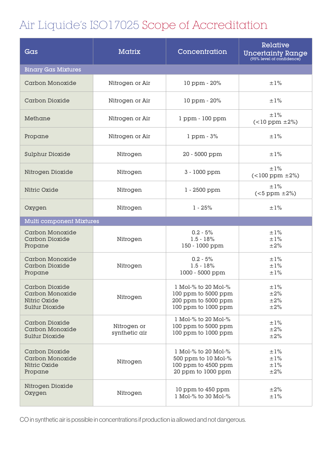### Air Liquide's ISO17025 Scope of Accreditation

| Gas                                                                                             | <b>Matrix</b>                | Concentration                                                                            | Relative<br><b>Uncertainty Range</b><br>(95% level of confidence) |
|-------------------------------------------------------------------------------------------------|------------------------------|------------------------------------------------------------------------------------------|-------------------------------------------------------------------|
| <b>Binary Gas Mixtures</b>                                                                      |                              |                                                                                          |                                                                   |
| <b>Carbon Monoxide</b>                                                                          | Nitrogen or Air              | 10 ppm - 20%                                                                             | ±1%                                                               |
| <b>Carbon Dioxide</b>                                                                           | Nitrogen or Air              | 10 ppm - 20%                                                                             | ±1%                                                               |
| Methane                                                                                         | Nitrogen or Air              | 1 ppm - 100 ppm                                                                          | $\pm 1\%$<br>$(<10$ ppm $\pm 2\%)$                                |
| Propane                                                                                         | Nitrogen or Air              | $1$ ppm $-3\%$                                                                           | ±1%                                                               |
| <b>Sulphur Dioxide</b>                                                                          | Nitrogen                     | 20 - 5000 ppm                                                                            | ±1%                                                               |
| Nitrogen Dioxide                                                                                | Nitrogen                     | 3 - 1000 ppm                                                                             | $\pm 1\%$<br>$($ < 100 ppm $\pm 2\%)$                             |
| <b>Nitric Oxide</b>                                                                             | Nitrogen                     | 1 - 2500 ppm                                                                             | ±1%<br>$(<5$ ppm $\pm 2\%)$                                       |
| Oxygen                                                                                          | Nitrogen                     | $1 - 25%$                                                                                | ±1%                                                               |
| <b>Multi component Mixtures</b>                                                                 |                              |                                                                                          |                                                                   |
| <b>Carbon Monoxide</b><br><b>Carbon Dioxide</b><br>Propane                                      | Nitrogen                     | $0.2 - 5%$<br>$1.5 - 18%$<br>150 - 1000 ppm                                              | ±1%<br>±1%<br>$\pm 2\%$                                           |
| <b>Carbon Monoxide</b><br>Carbon Dioxide<br>Propane                                             | Nitrogen                     | $0.2 - 5%$<br>$1.5 - 18%$<br>1000 - 5000 ppm                                             | ±1%<br>±1%<br>±1%                                                 |
| <b>Carbon Dioxide</b><br><b>Carbon Monoxide</b><br><b>Nitric Oxide</b><br><b>Sulfur Dioxide</b> | Nitrogen                     | 1 Mol-% to 20 Mol-%<br>100 ppm to 5000 ppm<br>200 ppm to 5000 ppm<br>100 ppm to 1000 ppm | $\pm1\%$<br>$\pm 2\%$<br>$\pm 2\%$<br>$\pm 2\%$                   |
| <b>Carbon Dioxide</b><br><b>Carbon Monoxide</b><br><b>Sulfur Dioxide</b>                        | Nitrogen or<br>synthetic air | 1 Mol-% to 20 Mol-%<br>100 ppm to 5000 ppm<br>100 ppm to 1000 ppm                        | ±1%<br>$\pm 2\%$<br>$\pm 2\%$                                     |
| <b>Carbon Dioxide</b><br><b>Carbon Monoxide</b><br><b>Nitric Oxide</b><br>Propane               | Nitrogen                     | 1 Mol-% to 20 Mol-%<br>500 ppm to 10 Mol-%<br>100 ppm to 4500 ppm<br>20 ppm to 1000 ppm  | ±1%<br>±1%<br>±1%<br>$\pm 2\%$                                    |
| Nitrogen Dioxide<br>Oxygen                                                                      | Nitrogen                     | 10 ppm to 450 ppm<br>1 Mol-% to 30 Mol-%                                                 | $\pm 2\%$<br>±1%                                                  |

CO in synthetic air is possible in concentrations if production ia allowed and not dangerous.